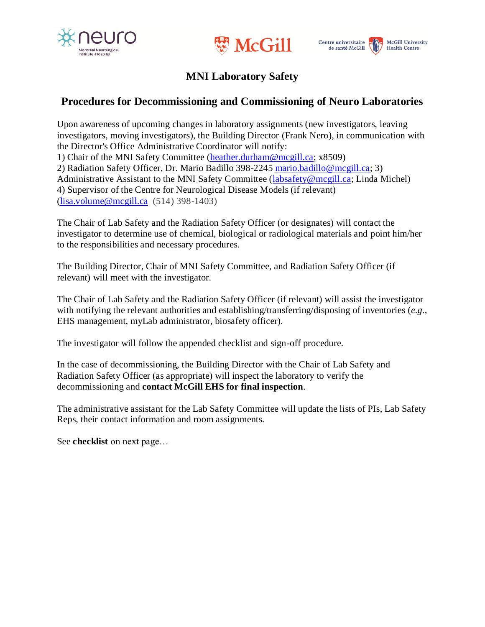





# **MNI Laboratory Safety**

## **Procedures for Decommissioning and Commissioning of Neuro Laboratories**

Upon awareness of upcoming changes in laboratory assignments (new investigators, leaving investigators, moving investigators), the Building Director (Frank Nero), in communication with the Director's Office Administrative Coordinator will notify: 1) Chair of the MNI Safety Committee [\(heather.durham@mcgill.ca;](mailto:heather.durham@mcgill.ca) x8509) 2) Radiation Safety Officer, Dr. Mario Badillo 398-2245 [mario.badillo@mcgill.ca;](mailto:mario.badillo@mcgill.ca) 3) Administrative Assistant to the MNI Safety Committee [\(labsafety@mcgill.ca;](mailto:labsafety@mcgill.ca) Linda Michel) 4) Supervisor of the Centre for Neurological Disease Models (if relevant) [\(lisa.volume@mcgill.ca](mailto:lisa.volume@mcgill.ca) (514) 398-1403)

The Chair of Lab Safety and the Radiation Safety Officer (or designates) will contact the investigator to determine use of chemical, biological or radiological materials and point him/her to the responsibilities and necessary procedures.

The Building Director, Chair of MNI Safety Committee, and Radiation Safety Officer (if relevant) will meet with the investigator.

The Chair of Lab Safety and the Radiation Safety Officer (if relevant) will assist the investigator with notifying the relevant authorities and establishing/transferring/disposing of inventories (*e.g.,* EHS management, myLab administrator, biosafety officer).

The investigator will follow the appended checklist and sign-off procedure.

In the case of decommissioning, the Building Director with the Chair of Lab Safety and Radiation Safety Officer (as appropriate) will inspect the laboratory to verify the decommissioning and **contact McGill EHS for final inspection**.

The administrative assistant for the Lab Safety Committee will update the lists of PIs, Lab Safety Reps, their contact information and room assignments.

See **checklist** on next page…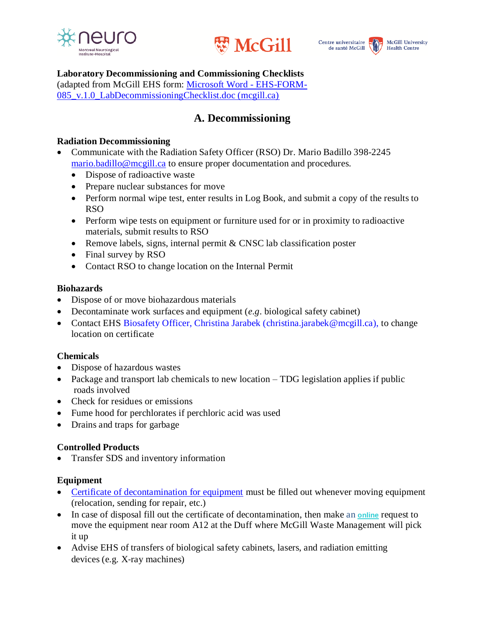







**Laboratory Decommissioning and Commissioning Checklists**

(adapted from McGill EHS form: [Microsoft Word -](https://www.mcgill.ca/ehs/files/ehs/EHS-FORM-085_v.1.0_LabDecommissioningChecklist.pdf) EHS-FORM-

[085\\_v.1.0\\_LabDecommissioningChecklist.doc \(mcgill.ca\)](https://www.mcgill.ca/ehs/files/ehs/EHS-FORM-085_v.1.0_LabDecommissioningChecklist.pdf)

# **A. Decommissioning**

### **Radiation Decommissioning**

- Communicate with the Radiation Safety Officer (RSO) Dr. Mario Badillo 398-2245 [mario.badillo@mcgill.ca](mailto:mario.badillo@mcgill.ca) to ensure proper documentation and procedures.
	- Dispose of radioactive waste
	- Prepare nuclear substances for move
	- Perform normal wipe test, enter results in Log Book, and submit a copy of the results to RSO
	- Perform wipe tests on equipment or furniture used for or in proximity to radioactive materials, submit results to RSO
	- Remove labels, signs, internal permit & CNSC lab classification poster
	- Final survey by RSO
	- Contact RSO to change location on the Internal Permit

### **Biohazards**

- Dispose of or move biohazardous materials
- Decontaminate work surfaces and equipment (*e.g*. biological safety cabinet)
- Contact EHS Biosafety Officer, Christina Jarabek (christina.jarabek@mcgill.ca), to change location on certificate

### **Chemicals**

- Dispose of hazardous wastes
- Package and transport lab chemicals to new location TDG legislation applies if public roads involved
- Check for residues or emissions
- Fume hood for perchlorates if perchloric acid was used
- Drains and traps for garbage

# **Controlled Products**

Transfer SDS and inventory information

# **Equipment**

- Certificate [of decontamination for equipment](certificateofequipmentdecontamination-TEMPLATE.pdf) must be filled out whenever moving equipment (relocation, sending for repair, etc.)
- In case of disposal fill out the certificate of decontamination, then make an **[online](https://app.smartsheet.com/b/form/ad51b1ded5c048c9b5b8ec5633fefe1a)** request to move the equipment near room A12 at the Duff where McGill Waste Management will pick it up
- Advise EHS of transfers of biological safety cabinets, lasers, and radiation emitting devices (e.g. X‐ray machines)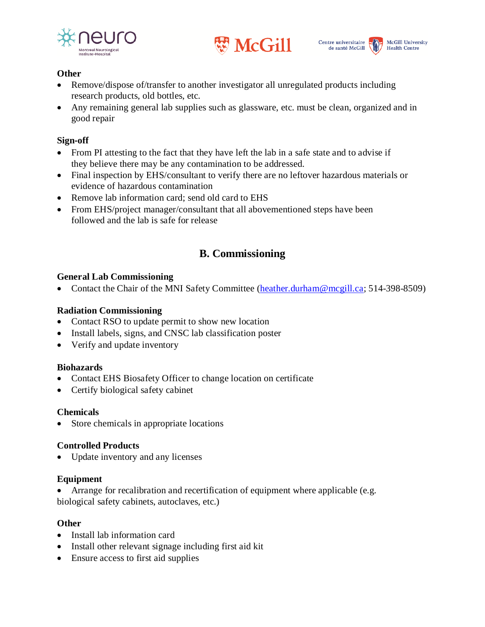





### **Other**

- Remove/dispose of/transfer to another investigator all unregulated products including research products, old bottles, etc.
- Any remaining general lab supplies such as glassware, etc. must be clean, organized and in good repair

### **Sign‐off**

- From PI attesting to the fact that they have left the lab in a safe state and to advise if they believe there may be any contamination to be addressed.
- Final inspection by EHS/consultant to verify there are no leftover hazardous materials or evidence of hazardous contamination
- Remove lab information card; send old card to EHS
- From EHS/project manager/consultant that all abovementioned steps have been followed and the lab is safe for release

### **B. Commissioning**

### **General Lab Commissioning**

• Contact the Chair of the MNI Safety Committee [\(heather.durham@mcgill.ca;](mailto:heather.durham@mcgill.ca) 514-398-8509)

### **Radiation Commissioning**

- Contact RSO to update permit to show new location
- Install labels, signs, and CNSC lab classification poster
- Verify and update inventory

### **Biohazards**

- Contact EHS Biosafety Officer to change location on certificate
- Certify biological safety cabinet

### **Chemicals**

Store chemicals in appropriate locations

### **Controlled Products**

Update inventory and any licenses

### **Equipment**

 Arrange for recalibration and recertification of equipment where applicable (e.g. biological safety cabinets, autoclaves, etc.)

### **Other**

- Install lab information card
- Install other relevant signage including first aid kit
- Ensure access to first aid supplies